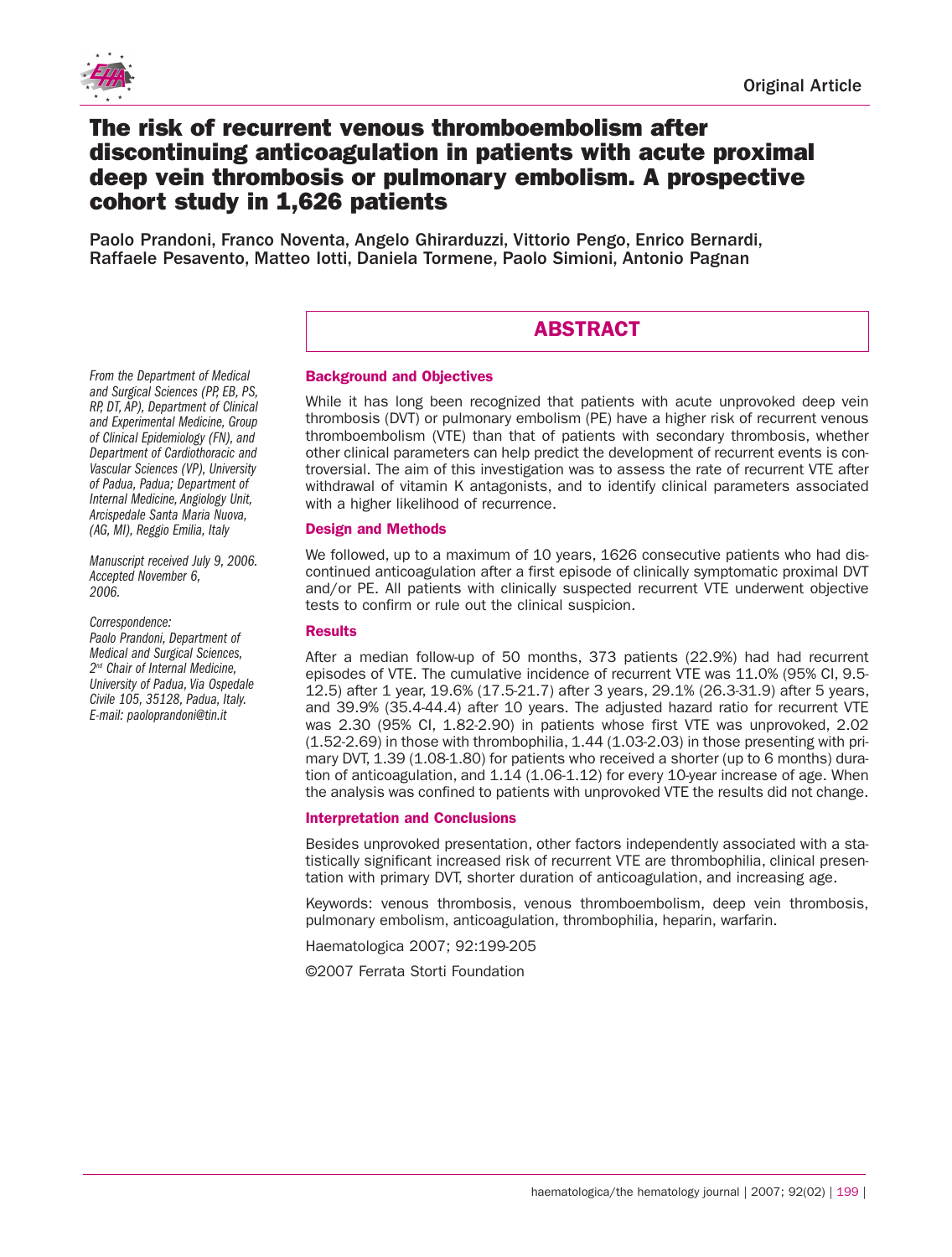

# **The risk of recurrent venous thromboembolism after discontinuing anticoagulation in patients with acute proximal deep vein thrombosis or pulmonary embolism. A prospective cohort study in 1,626 patients**

Paolo Prandoni, Franco Noventa, Angelo Ghirarduzzi, Vittorio Pengo, Enrico Bernardi, Raffaele Pesavento, Matteo Iotti, Daniela Tormene, Paolo Simioni, Antonio Pagnan

# **ABSTRACT**

*From the Department of Medical and Surgical Sciences (PP,EB, PS, RP, DT, AP), Department of Clinical and Experimental Medicine, Group of Clinical Epidemiology (FN), and Department of Cardiothoracic and Vascular Sciences (VP), University of Padua, Padua; Department of Internal Medicine, Angiology Unit, Arcispedale Santa Maria Nuova, (AG, MI), Reggio Emilia, Italy*

*Manuscript received July 9, 2006. Accepted November 6, 2006.*

*Correspondence: Paolo Prandoni, Department of*

*Medical and Surgical Sciences, 2nd Chair of Internal Medicine, University of Padua, Via Ospedale Civile 105, 35128, Padua, Italy. E-mail: paoloprandoni@tin.it*

## **Background and Objectives**

While it has long been recognized that patients with acute unprovoked deep vein thrombosis (DVT) or pulmonary embolism (PE) have a higher risk of recurrent venous thromboembolism (VTE) than that of patients with secondary thrombosis, whether other clinical parameters can help predict the development of recurrent events is controversial. The aim of this investigation was to assess the rate of recurrent VTE after withdrawal of vitamin K antagonists, and to identify clinical parameters associated with a higher likelihood of recurrence.

# **Design and Methods**

We followed, up to a maximum of 10 years, 1626 consecutive patients who had discontinued anticoagulation after a first episode of clinically symptomatic proximal DVT and/or PE. All patients with clinically suspected recurrent VTE underwent objective tests to confirm or rule out the clinical suspicion.

## **Results**

After a median follow-up of 50 months, 373 patients (22.9%) had had recurrent episodes of VTE. The cumulative incidence of recurrent VTE was 11.0% (95% CI, 9.5- 12.5) after 1 year, 19.6% (17.5-21.7) after 3 years, 29.1% (26.3-31.9) after 5 years, and 39.9% (35.4-44.4) after 10 years. The adjusted hazard ratio for recurrent VTE was 2.30 (95% CI, 1.82-2.90) in patients whose first VTE was unprovoked, 2.02 (1.52-2.69) in those with thrombophilia, 1.44 (1.03-2.03) in those presenting with primary DVT, 1.39 (1.08-1.80) for patients who received a shorter (up to 6 months) duration of anticoagulation, and 1.14 (1.06-1.12) for every 10-year increase of age. When the analysis was confined to patients with unprovoked VTE the results did not change.

## **Interpretation and Conclusions**

Besides unprovoked presentation, other factors independently associated with a statistically significant increased risk of recurrent VTE are thrombophilia, clinical presentation with primary DVT, shorter duration of anticoagulation, and increasing age.

Keywords: venous thrombosis, venous thromboembolism, deep vein thrombosis, pulmonary embolism, anticoagulation, thrombophilia, heparin, warfarin.

Haematologica 2007; 92:199-205

©2007 Ferrata Storti Foundation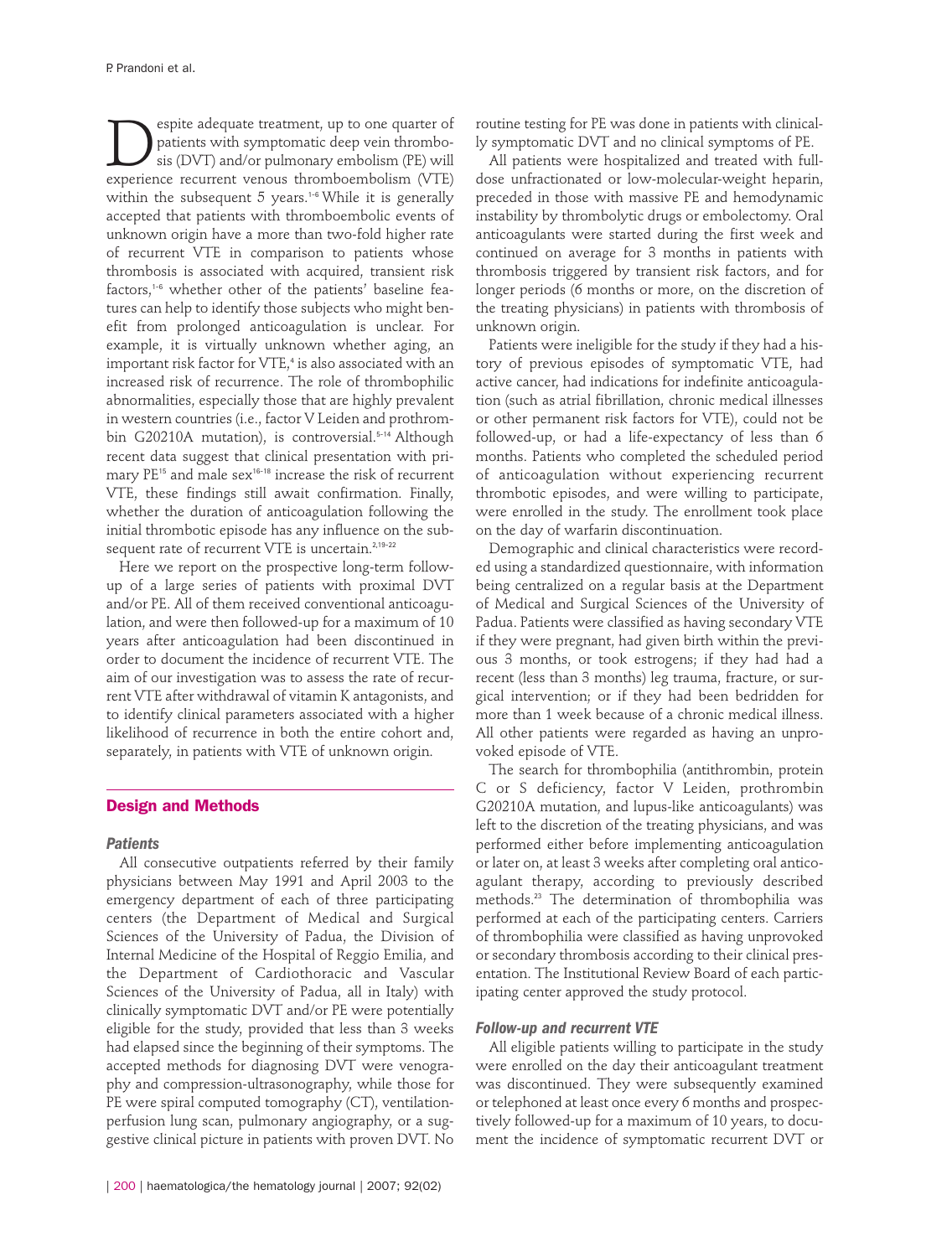Experie adequate treatment, up to one quarter of<br>patients with symptomatic deep vein thrombo-<br>sis (DVT) and/or pulmonary embolism (PE) will<br>experience recurrent venous thromboembolism (VTE) patients with symptomatic deep vein thrombosis (DVT) and/or pulmonary embolism (PE) will experience recurrent venous thromboembolism (VTE) within the subsequent 5 years. 1-6 While it is generally accepted that patients with thromboembolic events of unknown origin have a more than two-fold higher rate of recurrent VTE in comparison to patients whose thrombosis is associated with acquired, transient risk factors, 1-6 whether other of the patients' baseline features can help to identify those subjects who might benefit from prolonged anticoagulation is unclear. For example, it is virtually unknown whether aging, an important risk factor for VTE, <sup>4</sup> is also associated with an increased risk of recurrence. The role of thrombophilic abnormalities, especially those that are highly prevalent in western countries (i.e., factor V Leiden and prothrombin G20210A mutation), is controversial. 5-14 Although recent data suggest that clinical presentation with primary PE<sup>15</sup> and male sex<sup>16-18</sup> increase the risk of recurrent VTE, these findings still await confirmation. Finally, whether the duration of anticoagulation following the initial thrombotic episode has any influence on the subsequent rate of recurrent VTE is uncertain. 2,19-22

Here we report on the prospective long-term followup of a large series of patients with proximal DVT and/or PE. All of them received conventional anticoagulation, and were then followed-up for a maximum of 10 years after anticoagulation had been discontinued in order to document the incidence of recurrent VTE. The aim of our investigation was to assess the rate of recurrent VTE after withdrawal of vitamin K antagonists, and to identify clinical parameters associated with a higher likelihood of recurrence in both the entire cohort and, separately, in patients with VTE of unknown origin.

## **Design and Methods**

#### *Patients*

All consecutive outpatients referred by their family physicians between May 1991 and April 2003 to the emergency department of each of three participating centers (the Department of Medical and Surgical Sciences of the University of Padua, the Division of Internal Medicine of the Hospital of Reggio Emilia, and the Department of Cardiothoracic and Vascular Sciences of the University of Padua, all in Italy) with clinically symptomatic DVT and/or PE were potentially eligible for the study, provided that less than 3 weeks had elapsed since the beginning of their symptoms. The accepted methods for diagnosing DVT were venography and compression-ultrasonography, while those for PE were spiral computed tomography (CT), ventilationperfusion lung scan, pulmonary angiography, or a suggestive clinical picture in patients with proven DVT. No

routine testing for PE was done in patients with clinically symptomatic DVT and no clinical symptoms of PE.

All patients were hospitalized and treated with fulldose unfractionated or low-molecular-weight heparin, preceded in those with massive PE and hemodynamic instability by thrombolytic drugs or embolectomy. Oral anticoagulants were started during the first week and continued on average for 3 months in patients with thrombosis triggered by transient risk factors, and for longer periods (6 months or more, on the discretion of the treating physicians) in patients with thrombosis of unknown origin.

Patients were ineligible for the study if they had a history of previous episodes of symptomatic VTE, had active cancer, had indications for indefinite anticoagulation (such as atrial fibrillation, chronic medical illnesses or other permanent risk factors for VTE), could not be followed-up, or had a life-expectancy of less than 6 months. Patients who completed the scheduled period of anticoagulation without experiencing recurrent thrombotic episodes, and were willing to participate, were enrolled in the study. The enrollment took place on the day of warfarin discontinuation.

Demographic and clinical characteristics were recorded using a standardized questionnaire, with information being centralized on a regular basis at the Department of Medical and Surgical Sciences of the University of Padua. Patients were classified as having secondary VTE if they were pregnant, had given birth within the previous 3 months, or took estrogens; if they had had a recent (less than 3 months) leg trauma, fracture, or surgical intervention; or if they had been bedridden for more than 1 week because of a chronic medical illness. All other patients were regarded as having an unprovoked episode of VTE.

The search for thrombophilia (antithrombin, protein C or S deficiency, factor V Leiden, prothrombin G20210A mutation, and lupus-like anticoagulants) was left to the discretion of the treating physicians, and was performed either before implementing anticoagulation or later on, at least 3 weeks after completing oral anticoagulant therapy, according to previously described methods. <sup>23</sup> The determination of thrombophilia was performed at each of the participating centers. Carriers of thrombophilia were classified as having unprovoked or secondary thrombosis according to their clinical presentation. The Institutional Review Board of each participating center approved the study protocol.

### *Follow-up and recurrent VTE*

All eligible patients willing to participate in the study were enrolled on the day their anticoagulant treatment was discontinued. They were subsequently examined or telephoned at least once every 6 months and prospectively followed-up for a maximum of 10 years, to document the incidence of symptomatic recurrent DVT or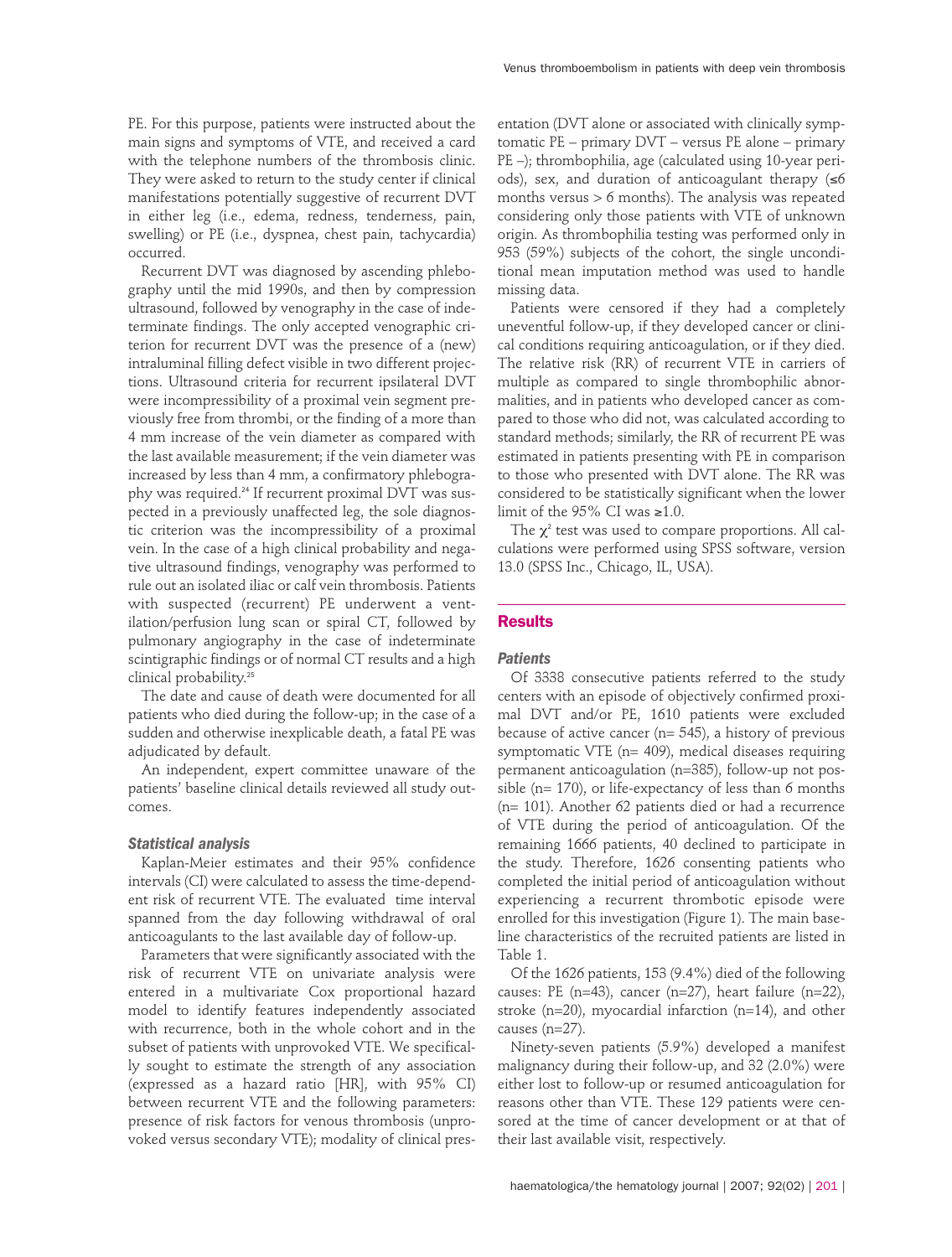PE. For this purpose, patients were instructed about the main signs and symptoms of VTE, and received a card with the telephone numbers of the thrombosis clinic. They were asked to return to the study center if clinical manifestations potentially suggestive of recurrent DVT in either leg (i.e., edema, redness, tenderness, pain, swelling) or PE (i.e., dyspnea, chest pain, tachycardia) occurred.

Recurrent DVT was diagnosed by ascending phlebography until the mid 1990s, and then by compression ultrasound, followed by venography in the case of indeterminate findings. The only accepted venographic criterion for recurrent DVT was the presence of a (new) intraluminal filling defect visible in two different projections. Ultrasound criteria for recurrent ipsilateral DVT were incompressibility of a proximal vein segment previously free from thrombi, or the finding of a more than 4 mm increase of the vein diameter as compared with the last available measurement; if the vein diameter was increased by less than 4 mm, a confirmatory phlebography was required. <sup>24</sup> If recurrent proximal DVT was suspected in a previously unaffected leg, the sole diagnostic criterion was the incompressibility of a proximal vein. In the case of a high clinical probability and negative ultrasound findings, venography was performed to rule out an isolated iliac or calf vein thrombosis. Patients with suspected (recurrent) PE underwent a ventilation/perfusion lung scan or spiral CT, followed by pulmonary angiography in the case of indeterminate scintigraphic findings or of normal CT results and a high clinical probability. 25

The date and cause of death were documented for all patients who died during the follow-up; in the case of a sudden and otherwise inexplicable death, a fatal PE was adjudicated by default.

An independent, expert committee unaware of the patients' baseline clinical details reviewed all study outcomes.

## *Statistical analysis*

Kaplan-Meier estimates and their 95% confidence intervals (CI) were calculated to assess the time-dependent risk of recurrent VTE. The evaluated time interval spanned from the day following withdrawal of oral anticoagulants to the last available day of follow-up.

Parameters that were significantly associated with the risk of recurrent VTE on univariate analysis were entered in a multivariate Cox proportional hazard model to identify features independently associated with recurrence, both in the whole cohort and in the subset of patients with unprovoked VTE. We specifically sought to estimate the strength of any association (expressed as a hazard ratio [HR], with 95% CI) between recurrent VTE and the following parameters: presence of risk factors for venous thrombosis (unprovoked versus secondary VTE); modality of clinical pres-

entation (DVT alone or associated with clinically symptomatic PE – primary DVT – versus PE alone – primary PE –); thrombophilia, age (calculated using 10-year periods), sex, and duration of anticoagulant therapy (≤6 months versus > 6 months). The analysis was repeated considering only those patients with VTE of unknown origin. As thrombophilia testing was performed only in 953 (59%) subjects of the cohort, the single unconditional mean imputation method was used to handle missing data.

Patients were censored if they had a completely uneventful follow-up, if they developed cancer or clinical conditions requiring anticoagulation, or if they died. The relative risk (RR) of recurrent VTE in carriers of multiple as compared to single thrombophilic abnormalities, and in patients who developed cancer as compared to those who did not, was calculated according to standard methods; similarly, the RR of recurrent PE was estimated in patients presenting with PE in comparison to those who presented with DVT alone. The RR was considered to be statistically significant when the lower limit of the 95% CI was  $\geq 1.0$ .

The  $\chi^2$  test was used to compare proportions. All calculations were performed using SPSS software, version 13.0 (SPSS Inc., Chicago, IL, USA).

# **Results**

# *Patients*

Of 3338 consecutive patients referred to the study centers with an episode of objectively confirmed proximal DVT and/or PE, 1610 patients were excluded because of active cancer ( $n= 545$ ), a history of previous symptomatic VTE (n= 409), medical diseases requiring permanent anticoagulation (n=385), follow-up not possible (n= 170), or life-expectancy of less than 6 months (n= 101). Another 62 patients died or had a recurrence of VTE during the period of anticoagulation. Of the remaining 1666 patients, 40 declined to participate in the study. Therefore, 1626 consenting patients who completed the initial period of anticoagulation without experiencing a recurrent thrombotic episode were enrolled for this investigation (Figure 1). The main baseline characteristics of the recruited patients are listed in Table 1.

Of the 1626 patients, 153 (9.4%) died of the following causes: PE (n=43), cancer (n=27), heart failure (n=22), stroke (n=20), myocardial infarction (n=14), and other causes (n=27).

Ninety-seven patients (5.9%) developed a manifest malignancy during their follow-up, and 32 (2.0%) were either lost to follow-up or resumed anticoagulation for reasons other than VTE. These 129 patients were censored at the time of cancer development or at that of their last available visit, respectively.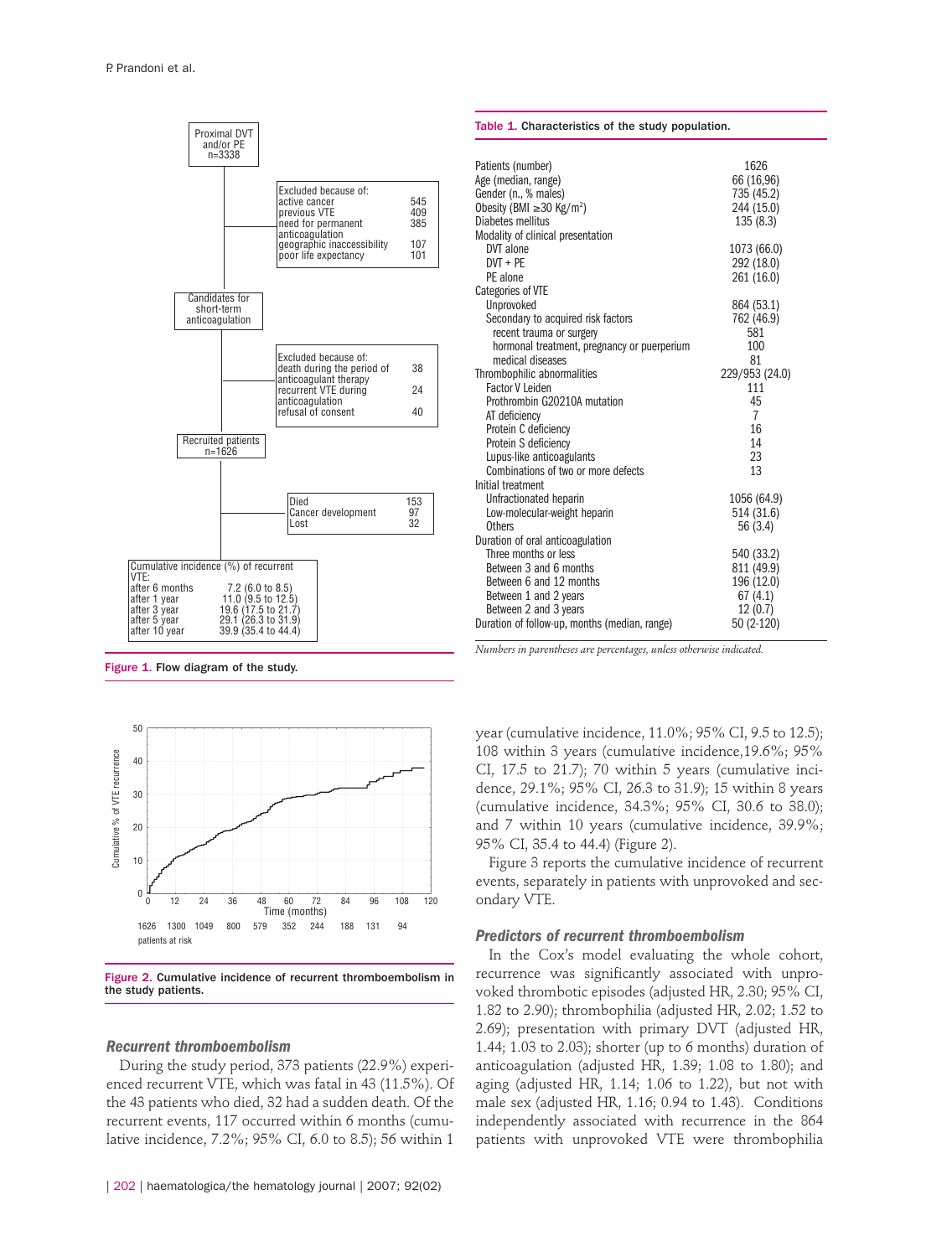

Figure 1. Flow diagram of the study.



Figure 2. Cumulative incidence of recurrent thromboembolism in the study patients.

#### *Recurrent thromboembolism*

During the study period, 373 patients (22.9%) experienced recurrent VTE, which was fatal in 43 (11.5%). Of the 43 patients who died, 32 had a sudden death. Of the recurrent events, 117 occurred within 6 months (cumulative incidence, 7.2%; 95% CI, 6.0 to 8.5); 56 within 1

| Patients (number)                             | 1626           |
|-----------------------------------------------|----------------|
| Age (median, range)                           | 66 (16,96)     |
| Gender (n., % males)                          | 735 (45.2)     |
| Obesity (BMI $\geq$ 30 Kg/m <sup>2</sup> )    | 244 (15.0)     |
| Diabetes mellitus                             | 135 (8.3)      |
| Modality of clinical presentation             |                |
| DVT alone                                     | 1073 (66.0)    |
| $DVT + PE$                                    | 292 (18.0)     |
| PE alone                                      | 261 (16.0)     |
| <b>Categories of VTE</b>                      |                |
| Unprovoked                                    | 864 (53.1)     |
| Secondary to acquired risk factors            | 762 (46.9)     |
| recent trauma or surgery                      | 581            |
| hormonal treatment, pregnancy or puerperium   | 100            |
| medical diseases                              | 81             |
| Thrombophilic abnormalities                   | 229/953 (24.0) |
| <b>Factor V Leiden</b>                        | 111            |
| Prothrombin G20210A mutation                  | 45             |
| AT deficiency                                 | 7              |
| Protein C deficiency                          | 16             |
| Protein S deficiency                          | 14             |
| Lupus-like anticoagulants                     | 23             |
| Combinations of two or more defects           | 13             |
| Initial treatment                             |                |
| Unfractionated heparin                        | 1056 (64.9)    |
| Low-molecular-weight heparin                  | 514 (31.6)     |
| <b>Others</b>                                 | 56 (3.4)       |
| Duration of oral anticoagulation              |                |
| Three months or less                          | 540 (33.2)     |
| Between 3 and 6 months                        | 811 (49.9)     |
| Between 6 and 12 months                       | 196 (12.0)     |
| Between 1 and 2 years                         | 67(4.1)        |
| Between 2 and 3 years                         | 12(0.7)        |
| Duration of follow-up, months (median, range) | 50 (2-120)     |
|                                               |                |

Table 1. Characteristics of the study population.

*Numbers in parentheses are percentages, unless otherwise indicated.*

year (cumulative incidence, 11.0%; 95% CI, 9.5 to 12.5); 108 within 3 years (cumulative incidence,19.6%; 95% CI, 17.5 to 21.7); 70 within 5 years (cumulative incidence, 29.1%; 95% CI, 26.3 to 31.9); 15 within 8 years (cumulative incidence, 34.3%; 95% CI, 30.6 to 38.0); and 7 within 10 years (cumulative incidence, 39.9%; 95% CI, 35.4 to 44.4) (Figure 2).

Figure 3 reports the cumulative incidence of recurrent events, separately in patients with unprovoked and secondary VTE.

## *Predictors of recurrent thromboembolism*

In the Cox's model evaluating the whole cohort, recurrence was significantly associated with unprovoked thrombotic episodes (adjusted HR, 2.30; 95% CI, 1.82 to 2.90); thrombophilia (adjusted HR, 2.02; 1.52 to 2.69); presentation with primary DVT (adjusted HR, 1.44; 1.03 to 2.03); shorter (up to 6 months) duration of anticoagulation (adjusted HR, 1.39; 1.08 to 1.80); and aging (adjusted HR, 1.14; 1.06 to 1.22), but not with male sex (adjusted HR, 1.16; 0.94 to 1.43). Conditions independently associated with recurrence in the 864 patients with unprovoked VTE were thrombophilia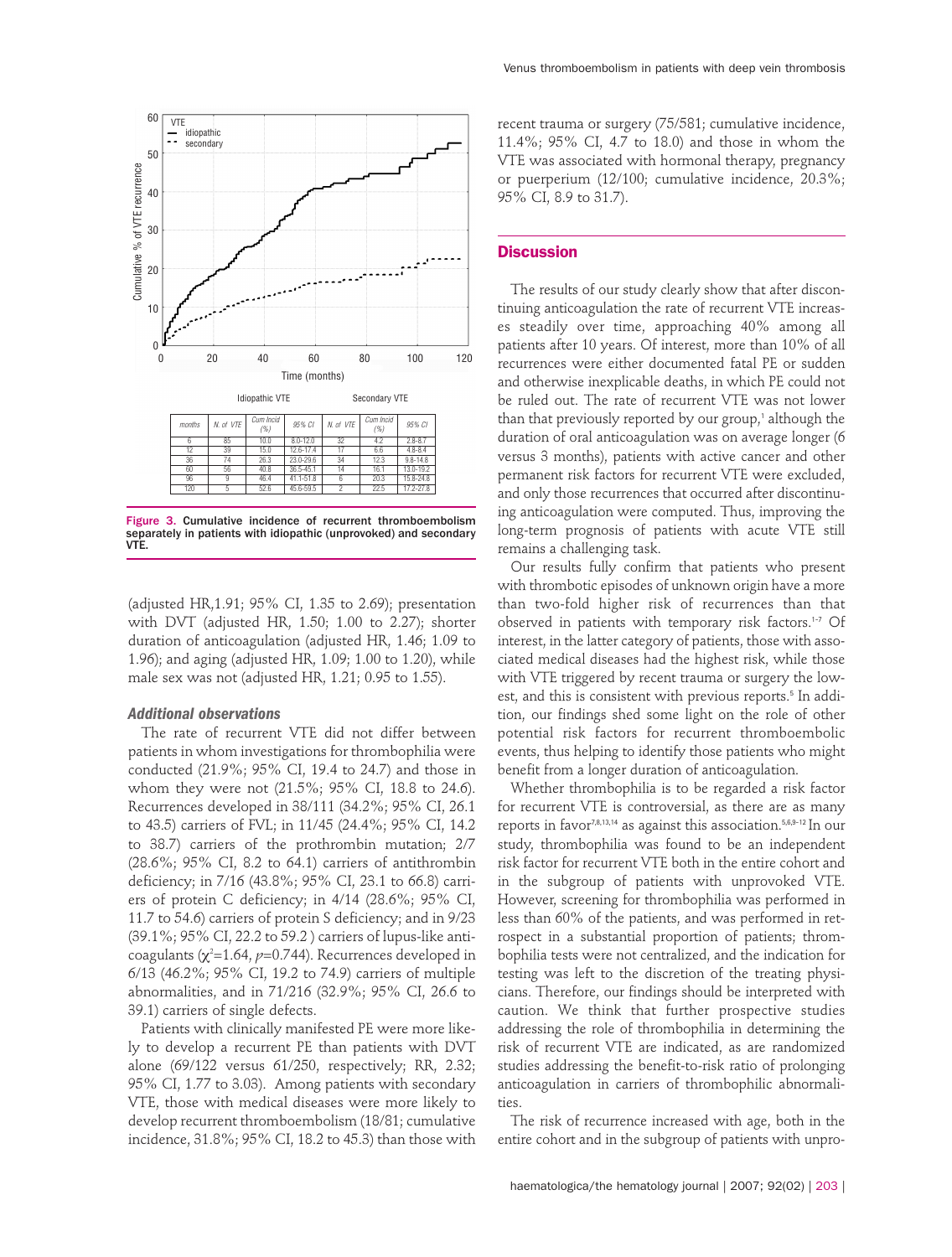

Figure 3. Cumulative incidence of recurrent thromboembolism separately in patients with idiopathic (unprovoked) and secondary VTE.

(adjusted HR,1.91; 95% CI, 1.35 to 2.69); presentation with DVT (adjusted HR, 1.50; 1.00 to 2.27); shorter duration of anticoagulation (adjusted HR, 1.46; 1.09 to 1.96); and aging (adjusted HR, 1.09; 1.00 to 1.20), while male sex was not (adjusted HR, 1.21; 0.95 to 1.55).

## *Additional observations*

The rate of recurrent VTE did not differ between patients in whom investigations for thrombophilia were conducted (21.9%; 95% CI, 19.4 to 24.7) and those in whom they were not (21.5%; 95% CI, 18.8 to 24.6). Recurrences developed in 38/111 (34.2%; 95% CI, 26.1 to 43.5) carriers of FVL; in 11/45 (24.4%; 95% CI, 14.2 to 38.7) carriers of the prothrombin mutation; 2/7 (28.6%; 95% CI, 8.2 to 64.1) carriers of antithrombin deficiency; in 7/16 (43.8%; 95% CI, 23.1 to 66.8) carriers of protein C deficiency; in 4/14 (28.6%; 95% CI, 11.7 to 54.6) carriers of protein S deficiency; and in 9/23 (39.1%; 95% CI, 22.2 to 59.2 ) carriers of lupus-like anticoagulants ( $\chi^2$ =1.64,  $\rho$ =0.744). Recurrences developed in 6/13 (46.2%; 95% CI, 19.2 to 74.9) carriers of multiple abnormalities, and in 71/216 (32.9%; 95% CI, 26.6 to 39.1) carriers of single defects.

Patients with clinically manifested PE were more likely to develop a recurrent PE than patients with DVT alone (69/122 versus 61/250, respectively; RR, 2.32; 95% CI, 1.77 to 3.03). Among patients with secondary VTE, those with medical diseases were more likely to develop recurrent thromboembolism (18/81; cumulative incidence, 31.8%; 95% CI, 18.2 to 45.3) than those with

recent trauma or surgery (75/581; cumulative incidence, 11.4%; 95% CI, 4.7 to 18.0) and those in whom the VTE was associated with hormonal therapy, pregnancy or puerperium (12/100; cumulative incidence, 20.3%; 95% CI, 8.9 to 31.7).

# **Discussion**

The results of our study clearly show that after discontinuing anticoagulation the rate of recurrent VTE increases steadily over time, approaching 40% among all patients after 10 years. Of interest, more than 10% of all recurrences were either documented fatal PE or sudden and otherwise inexplicable deaths, in which PE could not be ruled out. The rate of recurrent VTE was not lower than that previously reported by our group, <sup>1</sup> although the duration of oral anticoagulation was on average longer (6 versus 3 months), patients with active cancer and other permanent risk factors for recurrent VTE were excluded, and only those recurrences that occurred after discontinuing anticoagulation were computed. Thus, improving the long-term prognosis of patients with acute VTE still remains a challenging task.

Our results fully confirm that patients who present with thrombotic episodes of unknown origin have a more than two-fold higher risk of recurrences than that observed in patients with temporary risk factors. 1-7 Of interest, in the latter category of patients, those with associated medical diseases had the highest risk, while those with VTE triggered by recent trauma or surgery the lowest, and this is consistent with previous reports. <sup>5</sup> In addition, our findings shed some light on the role of other potential risk factors for recurrent thromboembolic events, thus helping to identify those patients who might benefit from a longer duration of anticoagulation.

Whether thrombophilia is to be regarded a risk factor for recurrent VTE is controversial, as there are as many reports in favor 7,8,13,14 as against this association. 5,6,9-12 In our study, thrombophilia was found to be an independent risk factor for recurrent VTE both in the entire cohort and in the subgroup of patients with unprovoked VTE. However, screening for thrombophilia was performed in less than 60% of the patients, and was performed in retrospect in a substantial proportion of patients; thrombophilia tests were not centralized, and the indication for testing was left to the discretion of the treating physicians. Therefore, our findings should be interpreted with caution. We think that further prospective studies addressing the role of thrombophilia in determining the risk of recurrent VTE are indicated, as are randomized studies addressing the benefit-to-risk ratio of prolonging anticoagulation in carriers of thrombophilic abnormalities.

The risk of recurrence increased with age, both in the entire cohort and in the subgroup of patients with unpro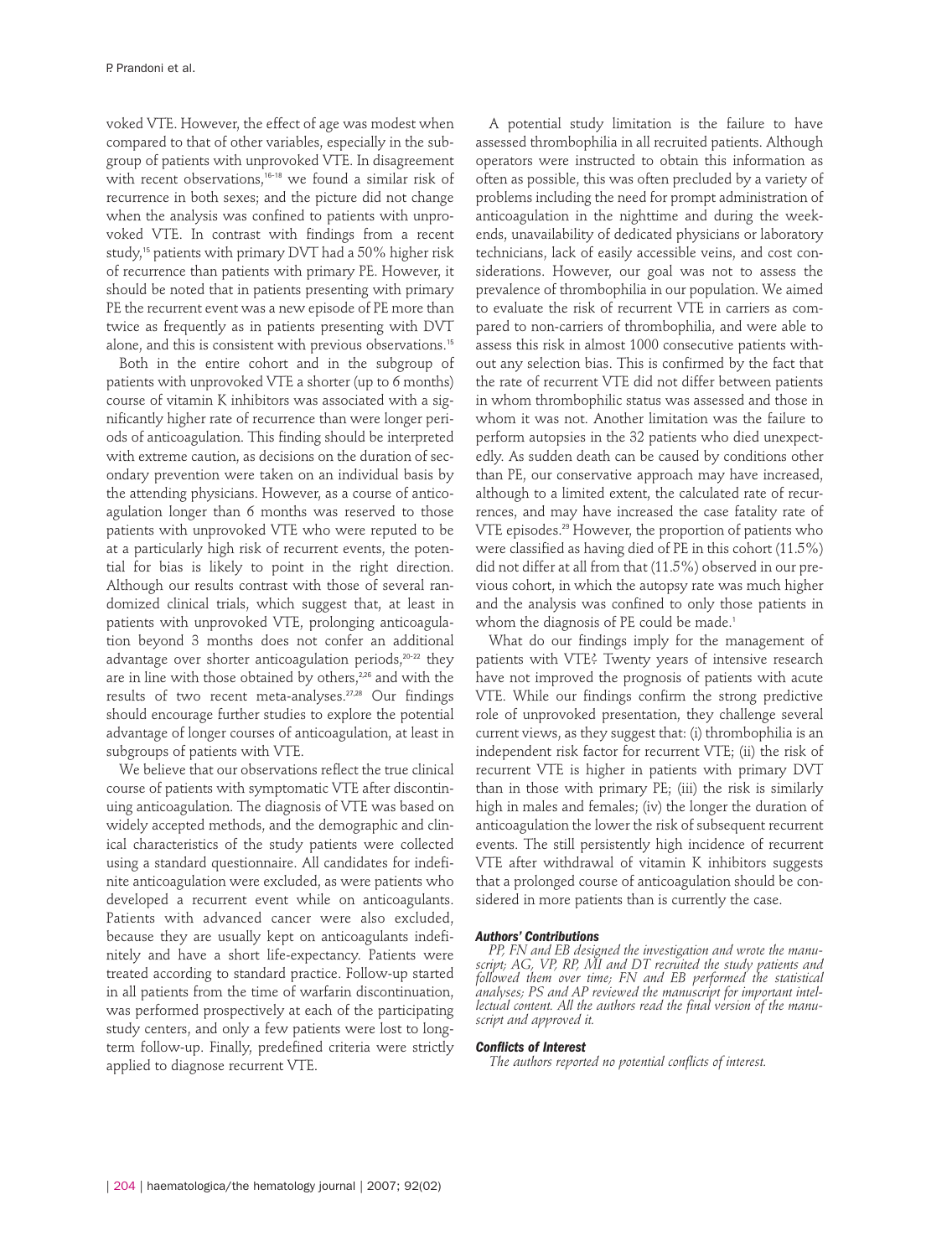voked VTE. However, the effect of age was modest when compared to that of other variables, especially in the subgroup of patients with unprovoked VTE. In disagreement with recent observations, 16-18 we found a similar risk of recurrence in both sexes; and the picture did not change when the analysis was confined to patients with unprovoked VTE. In contrast with findings from a recent study, <sup>15</sup> patients with primary DVT had a 50% higher risk of recurrence than patients with primary PE. However, it should be noted that in patients presenting with primary PE the recurrent event was a new episode of PE more than twice as frequently as in patients presenting with DVT alone, and this is consistent with previous observations. 15

Both in the entire cohort and in the subgroup of patients with unprovoked VTE a shorter (up to 6 months) course of vitamin K inhibitors was associated with a significantly higher rate of recurrence than were longer periods of anticoagulation. This finding should be interpreted with extreme caution, as decisions on the duration of secondary prevention were taken on an individual basis by the attending physicians. However, as a course of anticoagulation longer than 6 months was reserved to those patients with unprovoked VTE who were reputed to be at a particularly high risk of recurrent events, the potential for bias is likely to point in the right direction. Although our results contrast with those of several randomized clinical trials, which suggest that, at least in patients with unprovoked VTE, prolonging anticoagulation beyond 3 months does not confer an additional advantage over shorter anticoagulation periods, 20-22 they are in line with those obtained by others,<sup>226</sup> and with the results of two recent meta-analyses. 27,28 Our findings should encourage further studies to explore the potential advantage of longer courses of anticoagulation, at least in subgroups of patients with VTE.

We believe that our observations reflect the true clinical course of patients with symptomatic VTE after discontinuing anticoagulation. The diagnosis of VTE was based on widely accepted methods, and the demographic and clinical characteristics of the study patients were collected using a standard questionnaire. All candidates for indefinite anticoagulation were excluded, as were patients who developed a recurrent event while on anticoagulants. Patients with advanced cancer were also excluded, because they are usually kept on anticoagulants indefinitely and have a short life-expectancy. Patients were treated according to standard practice. Follow-up started in all patients from the time of warfarin discontinuation, was performed prospectively at each of the participating study centers, and only a few patients were lost to longterm follow-up. Finally, predefined criteria were strictly applied to diagnose recurrent VTE.

A potential study limitation is the failure to have assessed thrombophilia in all recruited patients. Although operators were instructed to obtain this information as often as possible, this was often precluded by a variety of problems including the need for prompt administration of anticoagulation in the nighttime and during the weekends, unavailability of dedicated physicians or laboratory technicians, lack of easily accessible veins, and cost considerations. However, our goal was not to assess the prevalence of thrombophilia in our population. We aimed to evaluate the risk of recurrent VTE in carriers as compared to non-carriers of thrombophilia, and were able to assess this risk in almost 1000 consecutive patients without any selection bias. This is confirmed by the fact that the rate of recurrent VTE did not differ between patients in whom thrombophilic status was assessed and those in whom it was not. Another limitation was the failure to perform autopsies in the 32 patients who died unexpectedly. As sudden death can be caused by conditions other than PE, our conservative approach may have increased, although to a limited extent, the calculated rate of recurrences, and may have increased the case fatality rate of VTE episodes. <sup>29</sup> However, the proportion of patients who were classified as having died of PE in this cohort (11.5%) did not differ at all from that (11.5%) observed in our previous cohort, in which the autopsy rate was much higher and the analysis was confined to only those patients in whom the diagnosis of PE could be made. 1

What do our findings imply for the management of patients with VTE? Twenty years of intensive research have not improved the prognosis of patients with acute VTE. While our findings confirm the strong predictive role of unprovoked presentation, they challenge several current views, as they suggest that: (i) thrombophilia is an independent risk factor for recurrent VTE; (ii) the risk of recurrent VTE is higher in patients with primary DVT than in those with primary PE; (iii) the risk is similarly high in males and females; (iv) the longer the duration of anticoagulation the lower the risk of subsequent recurrent events. The still persistently high incidence of recurrent VTE after withdrawal of vitamin K inhibitors suggests that a prolonged course of anticoagulation should be considered in more patients than is currently the case.

## *Authors' Contributions*

*PP, FN and EB designed the investigation and wrote the manuscript; AG, VP, RP, MI and DT recruited the study patients and followed them over time; FN and EB performed the statistical analyses; PS and AP reviewed the manuscript for important intellectual content. All the authors read the final version of the manuscript and approved it.*

#### *Conflicts of Interest*

*The authors reported no potential conflicts of interest.*